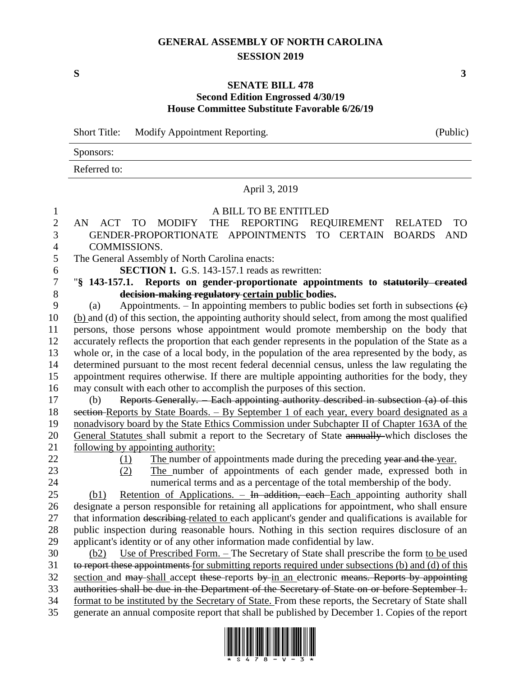# **GENERAL ASSEMBLY OF NORTH CAROLINA SESSION 2019**

## **SENATE BILL 478 Second Edition Engrossed 4/30/19 House Committee Substitute Favorable 6/26/19**

Short Title: Modify Appointment Reporting. (Public)

# Sponsors: Referred to:

## April 3, 2019

#### A BILL TO BE ENTITLED

#### AN ACT TO MODIFY THE REPORTING REQUIREMENT RELATED TO GENDER-PROPORTIONATE APPOINTMENTS TO CERTAIN BOARDS AND COMMISSIONS.

The General Assembly of North Carolina enacts:

**SECTION 1.** G.S. 143-157.1 reads as rewritten:

## "**§ 143-157.1. Reports on gender-proportionate appointments to statutorily created decision-making regulatory certain public bodies.**

9 (a) Appointments. – In appointing members to public bodies set forth in subsections  $\left(\epsilon\right)$  (b) and (d) of this section, the appointing authority should select, from among the most qualified persons, those persons whose appointment would promote membership on the body that accurately reflects the proportion that each gender represents in the population of the State as a whole or, in the case of a local body, in the population of the area represented by the body, as determined pursuant to the most recent federal decennial census, unless the law regulating the appointment requires otherwise. If there are multiple appointing authorities for the body, they may consult with each other to accomplish the purposes of this section.

 (b) Reports Generally. – Each appointing authority described in subsection (a) of this 18 section-Reports by State Boards. – By September 1 of each year, every board designated as a nonadvisory board by the State Ethics Commission under Subchapter II of Chapter 163A of the General Statutes shall submit a report to the Secretary of State annually which discloses the 21 following by appointing authority:

- 
- 22 (1) The number of appointments made during the preceding year and the year.
- 
- (2) The number of appointments of each gender made, expressed both in

 numerical terms and as a percentage of the total membership of the body. (b1) Retention of Applications. – In addition, each Each appointing authority shall designate a person responsible for retaining all applications for appointment, who shall ensure 27 that information describing related to each applicant's gender and qualifications is available for public inspection during reasonable hours. Nothing in this section requires disclosure of an applicant's identity or of any other information made confidential by law.

 (b2) Use of Prescribed Form. – The Secretary of State shall prescribe the form to be used to report these appointments for submitting reports required under subsections (b) and (d) of this section and may-shall accept these-reports by in an electronic means. Reports by appointing authorities shall be due in the Department of the Secretary of State on or before September 1. format to be instituted by the Secretary of State. From these reports, the Secretary of State shall generate an annual composite report that shall be published by December 1. Copies of the report

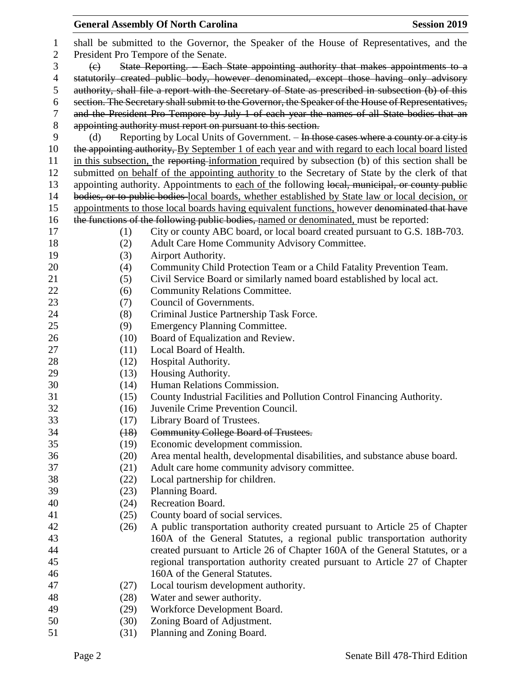## **General Assembly Of North Carolina Session 2019 Session 2019**  shall be submitted to the Governor, the Speaker of the House of Representatives, and the President Pro Tempore of the Senate. (c) State Reporting. – Each State appointing authority that makes appointments to a 4 statutorily created public body, however denominated, except those having only advisory authority, shall file a report with the Secretary of State as prescribed in subsection (b) of this section. The Secretary shall submit to the Governor, the Speaker of the House of Representatives, and the President Pro Tempore by July 1 of each year the names of all State bodies that an appointing authority must report on pursuant to this section. 9 (d) Reporting by Local Units of Government. – In those cases where a county or a city is 10 the appointing authority, By September 1 of each year and with regard to each local board listed in this subsection, the reporting information required by subsection (b) of this section shall be submitted on behalf of the appointing authority to the Secretary of State by the clerk of that 13 appointing authority. Appointments to each of the following local, municipal, or county public bodies, or to public bodies local boards, whether established by State law or local decision, or 15 appointments to those local boards having equivalent functions, however denominated that have 16 the functions of the following public bodies, named or denominated, must be reported: (1) City or county ABC board, or local board created pursuant to G.S. 18B-703. (2) Adult Care Home Community Advisory Committee. (3) Airport Authority. (4) Community Child Protection Team or a Child Fatality Prevention Team. (5) Civil Service Board or similarly named board established by local act. 22 (6) Community Relations Committee. 23 (7) Council of Governments. (8) Criminal Justice Partnership Task Force. (9) Emergency Planning Committee. (10) Board of Equalization and Review. 27 (11) Local Board of Health. 28 (12) Hospital Authority. (13) Housing Authority. (14) Human Relations Commission. (15) County Industrial Facilities and Pollution Control Financing Authority. (16) Juvenile Crime Prevention Council. (17) Library Board of Trustees. (18) Community College Board of Trustees. (19) Economic development commission. (20) Area mental health, developmental disabilities, and substance abuse board. (21) Adult care home community advisory committee. (22) Local partnership for children. (23) Planning Board. (24) Recreation Board. (25) County board of social services. (26) A public transportation authority created pursuant to Article 25 of Chapter 160A of the General Statutes, a regional public transportation authority created pursuant to Article 26 of Chapter 160A of the General Statutes, or a regional transportation authority created pursuant to Article 27 of Chapter 160A of the General Statutes. (27) Local tourism development authority. (28) Water and sewer authority. (29) Workforce Development Board. (30) Zoning Board of Adjustment.

(31) Planning and Zoning Board.